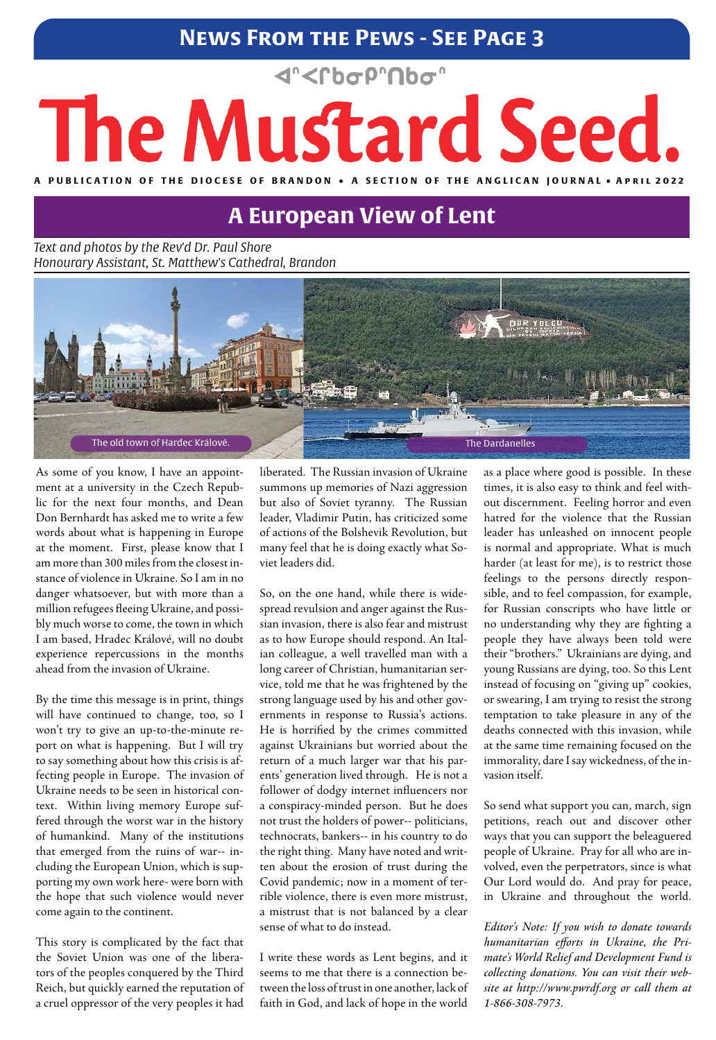### **News From the Pews - See Page 3**

## d"<rbop"nbo"

# The Mustard Seed. A PUBLICATION OF THE DIOCESE OF BRANDON • A SECTION OF THE ANGLICAN **JOURNAL** • APRIL 2022

*Text and photos by the Rev'd Dr. Paul Shore Honourary Assistant, St. Matthew's Cathedral, Brandon*

As some of you know, I have an appointment at a university in the Czech Republic for the next four months, and Dean Don Bernhardt has asked me to write a few words about what is happening in Europe at the moment. First, please know that I am more than 300 miles from the closest instance of violence in Ukraine. So I am in no danger whatsoever, but with more than a million refugees fleeing Ukraine, and possibly much worse to come, the town in which I am based, Hradec Králové, will no doubt experience repercussions in the months ahead from the invasion of Ukraine.

By the time this message is in print, things will have continued to change, too, so I won't try to give an up-to-the-minute report on what is happening. But I will try to say something about how this crisis is affecting people in Europe. The invasion of Ukraine needs to be seen in historical context. Within living memory Europe suffered through the worst war in the history of humankind. Many of the institutions that emerged from the ruins of war-- including the European Union, which is supporting my own work here- were born with the hope that such violence would never come again to the continent.

This story is complicated by the fact that the Soviet Union was one of the liberators of the peoples conquered by the Third Reich, but quickly earned the reputation of a cruel oppressor of the very peoples it had

liberated. The Russian invasion of Ukraine summons up memories of Nazi aggression but also of Soviet tyranny. The Russian leader, Vladimir Putin, has criticized some of actions of the Bolshevik Revolution, but many feel that he is doing exactly what Soviet leaders did.

So, on the one hand, while there is widespread revulsion and anger against the Russian invasion, there is also fear and mistrust as to how Europe should respond. An Italian colleague, a well travelled man with a long career of Christian, humanitarian service, told me that he was frightened by the strong language used by his and other governments in response to Russia's actions. He is horrified by the crimes committed against Ukrainians but worried about the return of a much larger war that his parents' generation lived through. He is not a follower of dodgy internet influencers nor a conspiracy-minded person. But he does not trust the holders of power-- politicians, technocrats, bankers-- in his country to do the right thing. Many have noted and written about the erosion of trust during the Covid pandemic; now in a moment of terrible violence, there is even more mistrust, a mistrust that is not balanced by a clear sense of what to do instead.

I write these words as Lent begins, and it seems to me that there is a connection between the loss of trust in one another, lack of faith in God, and lack of hope in the world

as a place where good is possible. In these times, it is also easy to think and feel without discernment. Feeling horror and even hatred for the violence that the Russian leader has unleashed on innocent people is normal and appropriate. What is much harder (at least for me), is to restrict those feelings to the persons directly responsible, and to feel compassion, for example, for Russian conscripts who have little or no understanding why they are fighting a people they have always been told were their "brothers." Ukrainians are dying, and young Russians are dying, too. So this Lent instead of focusing on "giving up" cookies, or swearing, I am trying to resist the strong temptation to take pleasure in any of the deaths connected with this invasion, while at the same time remaining focused on the immorality, dare I say wickedness, of the invasion itself.

So send what support you can, march, sign petitions, reach out and discover other ways that you can support the beleaguered people of Ukraine. Pray for all who are involved, even the perpetrators, since is what Our Lord would do. And pray for peace, in Ukraine and throughout the world.

*Editor's Note: If you wish to donate towards humanitarian efforts in Ukraine, the Primate's World Relief and Development Fund is collecting donations. You can visit their website at http://www.pwrdf.org or call them at 1-866-308-7973.*

## **A European View of Lent**

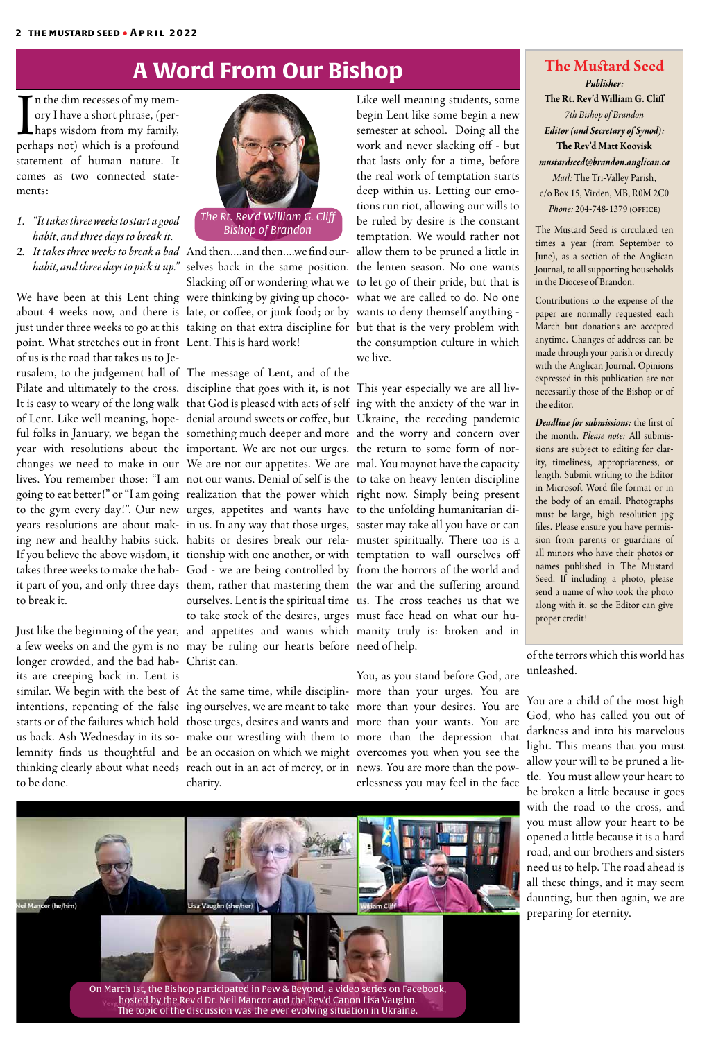I<br>Derl If n the dim recesses of my memory I have a short phrase, (perhaps wisdom from my family, perhaps not) which is a profound statement of human nature. It comes as two connected statements:

Just like the beginning of the year, and appetites and wants which manity truly is: broken and in a few weeks on and the gym is no may be ruling our hearts before need of help. longer crowded, and the bad hab-Christ can. its are creeping back in. Lent is similar. We begin with the best of At the same time, while disciplin-more than your urges. You are intentions, repenting of the false ing ourselves, we are meant to take more than your desires. You are starts or of the failures which hold those urges, desires and wants and more than your wants. You are us back. Ash Wednesday in its so-make our wrestling with them to more than the depression that lemnity finds us thoughtful and be an occasion on which we might overcomes you when you see the thinking clearly about what needs) reach out in an act of mercy, or in) news. You are more than the powto be done.

point. What stretches out in front Lent. This is hard work! of us is the road that takes us to Jerusalem, to the judgement hall of The message of Lent, and of the Pilate and ultimately to the cross. discipline that goes with it, is not This year especially we are all liv-It is easy to weary of the long walk that God is pleased with acts of self ing with the anxiety of the war in of Lent. Like well meaning, hope-denial around sweets or coffee, but Ukraine, the receding pandemic ful folks in January, we began the something much deeper and more and the worry and concern over year with resolutions about the important. We are not our urges. the return to some form of norchanges we need to make in our We are not our appetites. We are mal. You maynot have the capacity lives. You remember those: "I am not our wants. Denial of self is the to take on heavy lenten discipline going to eat better!" or "I am going realization that the power which right now. Simply being present to the gym every day!". Our new urges, appetites and wants have to the unfolding humanitarian diyears resolutions are about mak-in us. In any way that those urges, saster may take all you have or can ing new and healthy habits stick. habits or desires break our rela-muster spiritually. There too is a If you believe the above wisdom, it tionship with one another, or with temptation to wall ourselves off takes three weeks to make the hab-God - we are being controlled by from the horrors of the world and it part of you, and only three days) them, rather that mastering them) the war and the suffering around to break it.

- *1. "It takes three weeks to start a good habit, and three days to break it.*
- *2. It takes three weeks to break a bad*  And then....and then....we find our-allow them to be pruned a little in

*habit, and three days to pick it up."* selves back in the same position. the lenten season. No one wants We have been at this Lent thing were thinking by giving up choco- what we are called to do. No one about 4 weeks now, and there is late, or coffee, or junk food; or by wants to deny themself anything just under three weeks to go at this) taking on that extra discipline for) but that is the very problem with Slacking off or wondering what we to let go of their pride, but that is

charity.

Like well meaning students, some begin Lent like some begin a new semester at school. Doing all the work and never slacking off - but that lasts only for a time, before the real work of temptation starts deep within us. Letting our emotions run riot, allowing our wills to be ruled by desire is the constant temptation. We would rather not the consumption culture in which we live.

ourselves. Lent is the spiritual time us. The cross teaches us that we

to take stock of the desires, urges must face head on what our hu-

You, as you stand before God, are erlessness you may feel in the face

## **A Word From Our Bishop The Mustard Seed**

## *Publisher:*

**The Rt. Rev'd William G. Cliff** *7th Bishop of Brandon Editor (and Secretary of Synod):*  **The Rev'd Matt Koovisk** *mustardseed@brandon.anglican.ca Mail:* The Tri-Valley Parish, c/o Box 15, Virden, MB, R0M 2C0 *Phone:* 204-748-1379 (office)

The Mustard Seed is circulated ten times a year (from September to June), as a section of the Anglican Journal, to all supporting households in the Diocese of Brandon.

Contributions to the expense of the paper are normally requested each March but donations are accepted anytime. Changes of address can be made through your parish or directly with the Anglican Journal. Opinions expressed in this publication are not necessarily those of the Bishop or of the editor.

*Deadline for submissions:* the first of the month. *Please note:* All submissions are subject to editing for clarity, timeliness, appropriateness, or length. Submit writing to the Editor in Microsoft Word file format or in the body of an email. Photographs must be large, high resolution jpg files. Please ensure you have permission from parents or guardians of all minors who have their photos or names published in The Mustard Seed. If including a photo, please send a name of who took the photo along with it, so the Editor can give proper credit!



*Bishop of Brandon*

of the terrors which this world has unleashed.

You are a child of the most high God, who has called you out of darkness and into his marvelous light. This means that you must allow your will to be pruned a little. You must allow your heart to be broken a little because it goes with the road to the cross, and you must allow your heart to be opened a little because it is a hard road, and our brothers and sisters need us to help. The road ahead is all these things, and it may seem daunting, but then again, we are preparing for eternity.

leil Mancor (he/him) Lisa Vaughn (she/her) ı Clif

> On March 1st, the Bishop participated in Pew & Beyond, a video series on Facebook, hosted by the Rev'd Dr. Neil Mancor and the Rev'd Canon Lisa Vaughn. The topic of the discussion was the ever evolving situation in Ukraine.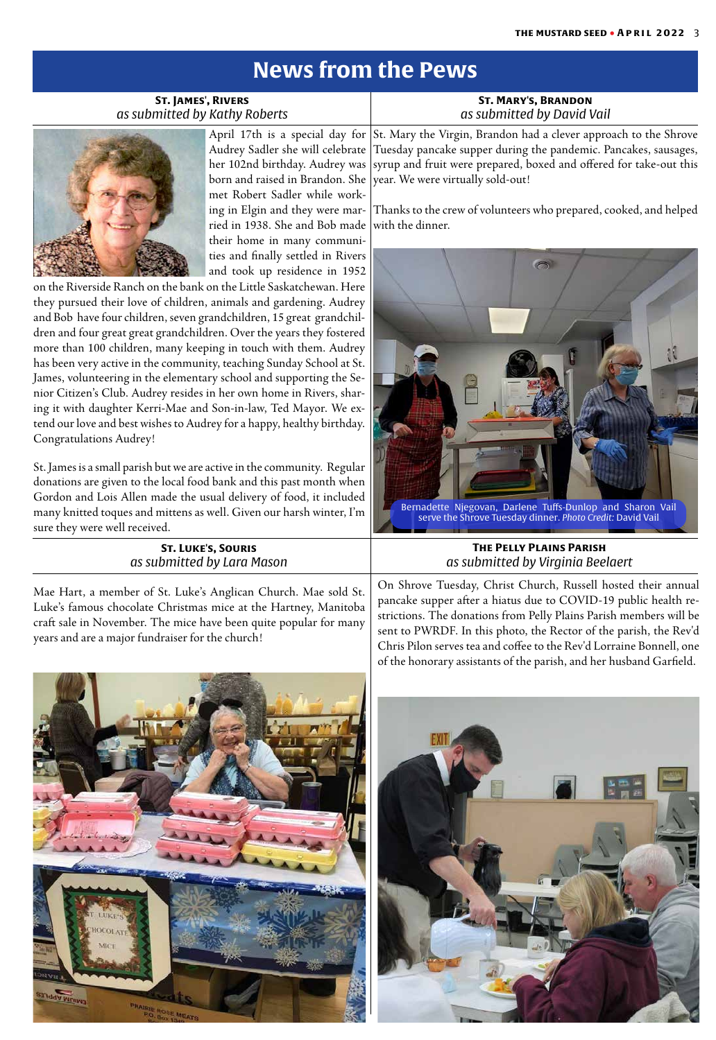## **News from the Pews**

St. Mary the Virgin, Brandon had a clever approach to the Shrove Tuesday pancake supper during the pandemic. Pancakes, sausages, syrup and fruit were prepared, boxed and offered for take-out this year. We were virtually sold-out!

Thanks to the crew of volunteers who prepared, cooked, and helped with the dinner.



**St. Mary's, Brandon** *as submitted by David Vail*

**St. James', Rivers** *as submitted by Kathy Roberts*



April 17th is a special day for Audrey Sadler she will celebrate her 102nd birthday. Audrey was born and raised in Brandon. She met Robert Sadler while working in Elgin and they were married in 1938. She and Bob made their home in many communities and finally settled in Rivers and took up residence in 1952

> On Shrove Tuesday, Christ Church, Russell hosted their annual pancake supper after a hiatus due to COVID-19 public health restrictions. The donations from Pelly Plains Parish members will be sent to PWRDF. In this photo, the Rector of the parish, the Rev'd Chris Pilon serves tea and coffee to the Rev'd Lorraine Bonnell, one of the honorary assistants of the parish, and her husband Garfield.



### **The Pelly Plains Parish** *as submitted by Virginia Beelaert*

on the Riverside Ranch on the bank on the Little Saskatchewan. Here they pursued their love of children, animals and gardening. Audrey and Bob have four children, seven grandchildren, 15 great grandchildren and four great great grandchildren. Over the years they fostered more than 100 children, many keeping in touch with them. Audrey has been very active in the community, teaching Sunday School at St. James, volunteering in the elementary school and supporting the Senior Citizen's Club. Audrey resides in her own home in Rivers, sharing it with daughter Kerri-Mae and Son-in-law, Ted Mayor. We extend our love and best wishes to Audrey for a happy, healthy birthday. Congratulations Audrey!

St. James is a small parish but we are active in the community. Regular donations are given to the local food bank and this past month when Gordon and Lois Allen made the usual delivery of food, it included many knitted toques and mittens as well. Given our harsh winter, I'm sure they were well received.



### **St. Luke's, Souris** *as submitted by Lara Mason*

Mae Hart, a member of St. Luke's Anglican Church. Mae sold St. Luke's famous chocolate Christmas mice at the Hartney, Manitoba craft sale in November. The mice have been quite popular for many years and are a major fundraiser for the church!